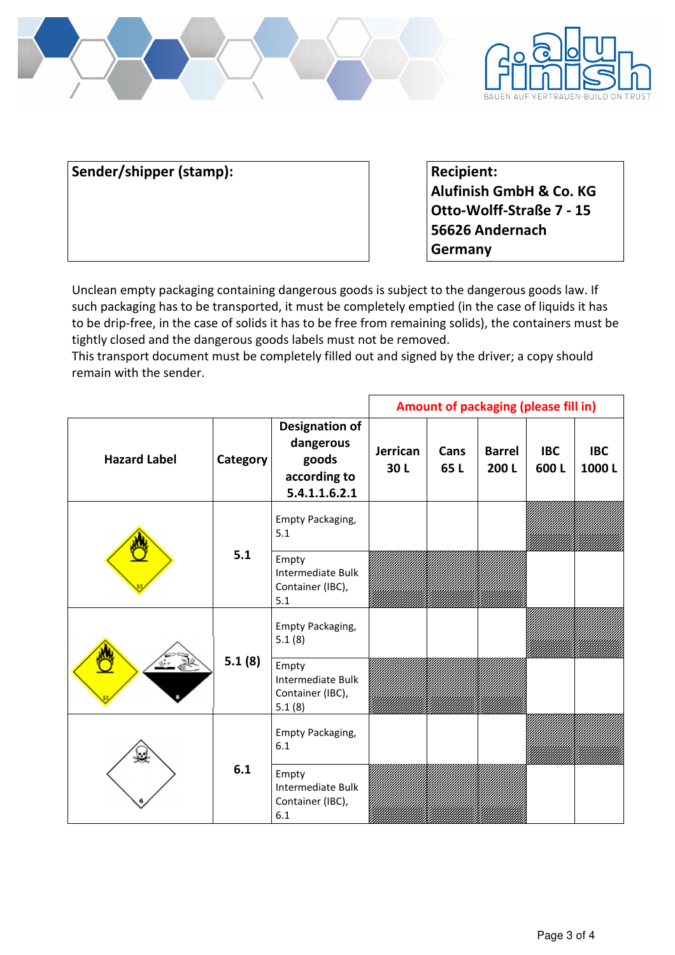



Sender/shipper (stamp): **Recipient: Recipient: Recipient:** 

**Alufinish GmbH & Co. KG Otto-Wolff-Straße 7 - 15 56626 Andernach Germany** 

Unclean empty packaging containing dangerous goods is subject to the dangerous goods law. If such packaging has to be transported, it must be completely emptied (in the case of liquids it has to be drip-free, in the case of solids it has to be free from remaining solids), the containers must be tightly closed and the dangerous goods labels must not be removed.

This transport document must be completely filled out and signed by the driver; a copy should remain with the sender.

|                     |                 |                                                                              | Amount of packaging (please fill in) |             |                       |                    |                     |
|---------------------|-----------------|------------------------------------------------------------------------------|--------------------------------------|-------------|-----------------------|--------------------|---------------------|
| <b>Hazard Label</b> | <b>Category</b> | <b>Designation of</b><br>dangerous<br>goods<br>according to<br>5.4.1.1.6.2.1 | Jerrican<br>30L                      | Cans<br>65L | <b>Barrel</b><br>200L | <b>IBC</b><br>600L | <b>IBC</b><br>1000L |
|                     | 5.1             | Empty Packaging,<br>5.1                                                      |                                      |             |                       |                    |                     |
|                     |                 | Empty<br>Intermediate Bulk<br>Container (IBC),<br>5.1                        |                                      |             |                       |                    |                     |
|                     | 5.1(8)          | Empty Packaging,<br>5.1(8)                                                   |                                      |             |                       |                    |                     |
|                     |                 | Empty<br>Intermediate Bulk<br>Container (IBC),<br>5.1(8)                     |                                      |             |                       |                    |                     |
| $\mathbf{c}$        | 6.1             | Empty Packaging,<br>6.1                                                      |                                      |             |                       |                    |                     |
|                     |                 | Empty<br>Intermediate Bulk<br>Container (IBC),<br>6.1                        |                                      |             |                       |                    |                     |